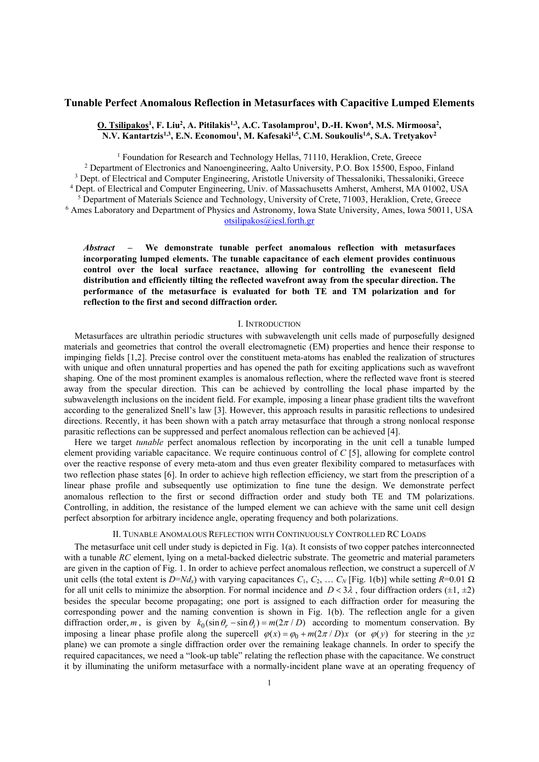# **Tunable Perfect Anomalous Reflection in Metasurfaces with Capacitive Lumped Elements**

# **O. Tsilipakos<sup>1</sup>, F. Liu<sup>2</sup>, A. Pitilakis<sup>1,3</sup>, A.C. Tasolamprou<sup>1</sup>, D.-H. Kwon<sup>4</sup>, M.S. Mirmoosa<sup>2</sup>,** N.V. Kantartzis<sup>1,3</sup>, E.N. Economou<sup>1</sup>, M. Kafesaki<sup>1,5</sup>, C.M. Soukoulis<sup>1,6</sup>, S.A. Tretyakov<sup>2</sup>

<sup>1</sup> Foundation for Research and Technology Hellas, 71110, Heraklion, Crete, Greece <sup>2</sup> Department of Electronics and Nanoengineering. Aalto University, P.O. Box 15500, Espoo <sup>2</sup> Department of Electronics and Nanoengineering, Aalto University, P.O. Box 15500, Espoo, Finland <sup>3</sup> Dept. of Electrical and Computer Engineering, Aristotle University of Thessaloniki, Thessaloniki, Greece <sup>4</sup> Dept. of Electrical and Computer Engineering, Univ. of Massachusetts Amherst, Amherst, MA 01002, USA <sup>5</sup> Department of Materials Science and Technology, University of Crete, 71003, Heraklion, Crete, Greece Ames Laboratory and Department of Physics and Astronomy, Iowa State University, Ames, Iowa 50011, USA otsilipakos@iesl.forth.gr

*Abstract* **– We demonstrate tunable perfect anomalous reflection with metasurfaces incorporating lumped elements. The tunable capacitance of each element provides continuous control over the local surface reactance, allowing for controlling the evanescent field distribution and efficiently tilting the reflected wavefront away from the specular direction. The performance of the metasurface is evaluated for both TE and TM polarization and for reflection to the first and second diffraction order.** 

## I. INTRODUCTION

Metasurfaces are ultrathin periodic structures with subwavelength unit cells made of purposefully designed materials and geometries that control the overall electromagnetic (EM) properties and hence their response to impinging fields [1,2]. Precise control over the constituent meta-atoms has enabled the realization of structures with unique and often unnatural properties and has opened the path for exciting applications such as wavefront shaping. One of the most prominent examples is anomalous reflection, where the reflected wave front is steered away from the specular direction. This can be achieved by controlling the local phase imparted by the subwavelength inclusions on the incident field. For example, imposing a linear phase gradient tilts the wavefront according to the generalized Snell's law [3]. However, this approach results in parasitic reflections to undesired directions. Recently, it has been shown with a patch array metasurface that through a strong nonlocal response parasitic reflections can be suppressed and perfect anomalous reflection can be achieved [4].

Here we target *tunable* perfect anomalous reflection by incorporating in the unit cell a tunable lumped element providing variable capacitance. We require continuous control of *C* [5], allowing for complete control over the reactive response of every meta-atom and thus even greater flexibility compared to metasurfaces with two reflection phase states [6]. In order to achieve high reflection efficiency, we start from the prescription of a linear phase profile and subsequently use optimization to fine tune the design. We demonstrate perfect anomalous reflection to the first or second diffraction order and study both TE and TM polarizations. Controlling, in addition, the resistance of the lumped element we can achieve with the same unit cell design perfect absorption for arbitrary incidence angle, operating frequency and both polarizations.

### II. TUNABLE ANOMALOUS REFLECTION WITH CONTINUOUSLY CONTROLLED RC LOADS

The metasurface unit cell under study is depicted in Fig. 1(a). It consists of two copper patches interconnected with a tunable *RC* element, lying on a metal-backed dielectric substrate. The geometric and material parameters are given in the caption of Fig. 1. In order to achieve perfect anomalous reflection, we construct a supercell of *N* unit cells (the total extent is  $D=M_x$ ) with varying capacitances  $C_1, C_2, ... C_N$  [Fig. 1(b)] while setting  $R=0.01$   $\Omega$ for all unit cells to minimize the absorption. For normal incidence and  $D < 3\lambda$ , four diffraction orders ( $\pm 1, \pm 2$ ) besides the specular become propagating; one port is assigned to each diffraction order for measuring the corresponding power and the naming convention is shown in Fig. 1(b). The reflection angle for a given diffraction order, *m*, is given by  $k_0 (\sin \theta_r - \sin \theta_i) = m(2\pi / D)$  according to momentum conservation. By imposing a linear phase profile along the supercell  $\varphi(x) = \varphi_0 + m(2\pi/D)x$  (or  $\varphi(y)$ ) for steering in the *yz* plane) we can promote a single diffraction order over the remaining leakage channels. In order to specify the required capacitances, we need a "look-up table" relating the reflection phase with the capacitance. We construct it by illuminating the uniform metasurface with a normally-incident plane wave at an operating frequency of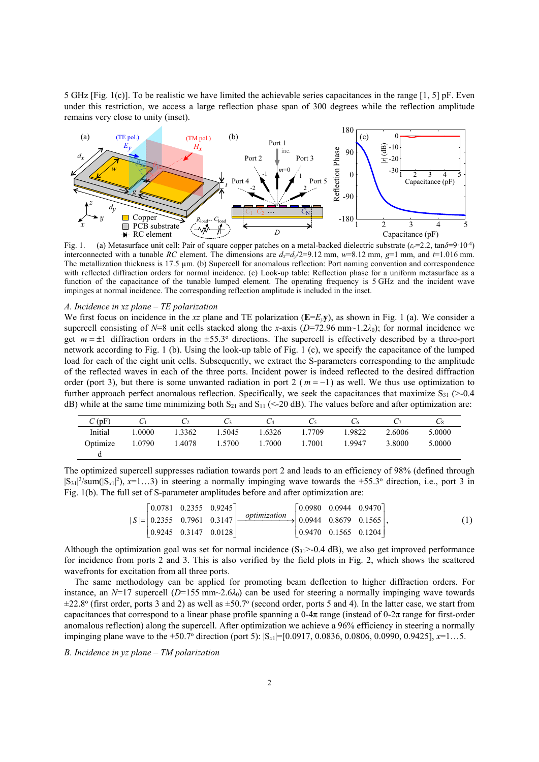5 GHz [Fig. 1(c)]. To be realistic we have limited the achievable series capacitances in the range [1, 5] pF. Even under this restriction, we access a large reflection phase span of 300 degrees while the reflection amplitude remains very close to unity (inset).



Fig. 1. (a) Metasurface unit cell: Pair of square copper patches on a metal-backed dielectric substrate (*εr*=2.2, tan*δ*=910-4) interconnected with a tunable *RC* element. The dimensions are  $d_x = d_y/2 = 9.12$  mm,  $w=8.12$  mm,  $g=1$  mm, and  $t=1.016$  mm. The metallization thickness is 17.5 µm. (b) Supercell for anomalous reflection: Port naming convention and correspondence with reflected diffraction orders for normal incidence. (c) Look-up table: Reflection phase for a uniform metasurface as a function of the capacitance of the tunable lumped element. The operating frequency is 5 GHz and the incident wave impinges at normal incidence. The corresponding reflection amplitude is included in the inset.

### *A. Incidence in xz plane – TE polarization*

We first focus on incidence in the *xz* plane and TE polarization  $(E=E_y y)$ , as shown in Fig. 1 (a). We consider a supercell consisting of  $N=8$  unit cells stacked along the *x*-axis ( $D=72.96$  mm $\sim$ 1.2 $\lambda_0$ ); for normal incidence we get  $m = \pm 1$  diffraction orders in the  $\pm 55.3^{\circ}$  directions. The supercell is effectively described by a three-port network according to Fig. 1 (b). Using the look-up table of Fig. 1 (c), we specify the capacitance of the lumped load for each of the eight unit cells. Subsequently, we extract the S-parameters corresponding to the amplitude of the reflected waves in each of the three ports. Incident power is indeed reflected to the desired diffraction order (port 3), but there is some unwanted radiation in port 2 ( $m = -1$ ) as well. We thus use optimization to further approach perfect anomalous reflection. Specifically, we seek the capacitances that maximize  $S_{31}$  (>-0.4) dB) while at the same time minimizing both  $S_{21}$  and  $S_{11}$  (<-20 dB). The values before and after optimization are:

| C(pF)    |        |        |        | <b>C</b> <sub>4</sub> |        |        |        |        |
|----------|--------|--------|--------|-----------------------|--------|--------|--------|--------|
| Initial  | 0000   | 1.3362 | .5045  | 1.6326                | 1.7709 | 1.9822 | 2.6006 | 5.0000 |
| Optimize | 1.0790 | 1.4078 | 1.5700 | 1.7000                | 1.7001 | 1.9947 | 3.8000 | 5.0000 |
|          |        |        |        |                       |        |        |        |        |

The optimized supercell suppresses radiation towards port 2 and leads to an efficiency of 98% (defined through  $|S_{31}|^2$ /sum( $|S_{x1}|^2$ ),  $x=1...3$ ) in steering a normally impinging wave towards the +55.3° direction, i.e., port 3 in Fig. 1(b). The full set of S-parameter amplitudes before and after optimization are:

|  | $\begin{bmatrix} 0.0781 & 0.2355 & 0.9245 \end{bmatrix}$ |                                                                                                                                                            | $\begin{bmatrix} 0.0980 & 0.0944 & 0.9470 \end{bmatrix}$ |  |  |
|--|----------------------------------------------------------|------------------------------------------------------------------------------------------------------------------------------------------------------------|----------------------------------------------------------|--|--|
|  |                                                          | $ S  =  0.2355 \quad 0.7961 \quad 0.3147 \left  \frac{\text{optimization}}{\text{optimization}} \right   0.0944 \quad 0.8679 \quad 0.1565 \left  \right ,$ |                                                          |  |  |
|  | $\begin{vmatrix} 0.9245 & 0.3147 & 0.0128 \end{vmatrix}$ |                                                                                                                                                            | $\begin{bmatrix} 0.9470 & 0.1565 & 0.1204 \end{bmatrix}$ |  |  |

Although the optimization goal was set for normal incidence  $(S<sub>31</sub>>-0.4$  dB), we also get improved performance for incidence from ports 2 and 3. This is also verified by the field plots in Fig. 2, which shows the scattered wavefronts for excitation from all three ports.

The same methodology can be applied for promoting beam deflection to higher diffraction orders. For instance, an  $N=17$  supercell ( $D=155$  mm $\sim$ 2.6 $\lambda_0$ ) can be used for steering a normally impinging wave towards  $\pm 22.8^\circ$  (first order, ports 3 and 2) as well as  $\pm 50.7^\circ$  (second order, ports 5 and 4). In the latter case, we start from capacitances that correspond to a linear phase profile spanning a  $0-4\pi$  range (instead of  $0-2\pi$  range for first-order anomalous reflection) along the supercell. After optimization we achieve a 96% efficiency in steering a normally impinging plane wave to the +50.7° direction (port 5):  $|S_{x1}| = [0.0917, 0.0836, 0.0806, 0.0990, 0.9425]$ ,  $x=1...5$ .

*B. Incidence in yz plane – TM polarization*